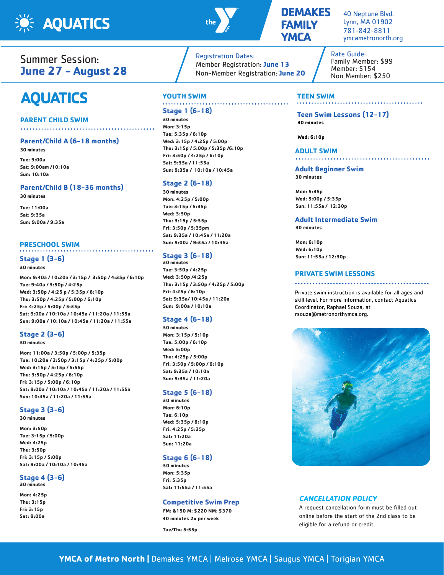



### **DEMAKES FAMILY YMCA**

40 Neptune Blvd. Lynn, MA 01902 781-842-8811 ymcametronorth.org

. . . . . . . . . . . . . . . . . .

### Summer Session: **June 27 - August 28**

# **AQUATICS**

### **PARENT CHILD SWIM**

### **Parent/Child A (6-18 months) 30 minutes**

**Tue: 9:00a Sat: 9:00am /10:10a Sun: 10:10a**

### **Parent/Child B (18-36 months)**

**30 minutes**

**Tue: 11:00a Sat: 9:35a Sun: 9:00a / 9:35a**

### **PRESCHOOL SWIM**

### **Stage 1 (3-6)**

**30 minutes**

**Mon: 9:40a / 10:20a / 3:15p / 3:50p / 4:35p / 6:10p Tue: 9:40a / 3:50p / 4:25p Wed: 3:50p / 4:25 p / 5:35p / 6:10p Thu: 3:50p / 4:25p / 5:00p / 6:10p Fri: 4:25p / 5:00p / 5:35p Sat: 9:00a / 10:10a / 10:45a / 11:20a / 11:55a Sun: 9:00a / 10:10a / 10:45a / 11:20a / 11:55a**

### **Stage 2 (3-6)**

### **30 minutes**

**Mon: 11:00a / 3:50p / 5:00p / 5:35p Tue: 10:20a / 2:50p / 3:15p / 4:25p / 5:00p Wed: 3:15p / 5:15p / 5:55p Thu: 3:50p / 4:25p / 6:10p Fri: 3:15p / 5:00p / 6:10p Sat: 9:00a / 10:10a / 10:45a / 11:20a / 11:55a Sun: 10:45a / 11:20a / 11:55a**

### **Stage 3 (3-6)**

**30 minutes**

**Mon: 3:50p Tue: 3:15p / 5:00p Wed: 4:25p Thu: 3:50p Fri: 3:15p / 5:00p Sat: 9:00a / 10:10a / 10:45a**

#### **Stage 4 (3-6) 30 minutes**

**Mon: 4:25p Thu: 3:15p Fri: 3:15p Sat: 9:00a**

### Registration Dates: Member Registration: **June 13** Non-Member Registration: **June 20**

## **YOUTH SWIM**

### **Stage 1 (6-18)**

**30 minutes Mon: 3:15p Tue: 5:35p / 6:10p Wed: 3:15p / 4:25p / 5:00p Thu: 3:15p / 5:00p / 5:35p /6:10p Fri: 3:50p / 4:25p / 6:10p Sat: 9:35a / 11:55a Sun: 9:35a / 10:10a / 10:45a**

### **Stage 2 (6-18)**

**30 minutes Mon: 4:25p / 5:00p Tue: 3:15p / 5:35p Wed: 3:50p Thu: 3:15p / 5:35p Fri: 3:50p / 5:35pm Sat: 9:35a / 10:45a / 11:20a Sun: 9:00a / 9:35a / 10:45a**

### **Stage 3 (6-18)**

**30 minutes Tue: 3:50p / 4:25p Wed: 3:50p /4:25p Thu: 3:15p / 3:50p / 4:25p / 5:00p Fri: 4:25p / 6:10p Sat: 9:35a/ 10:45a / 11:20a Sun: 9:00a / 10:10a** 

### **Stage 4 (6-18)**

**30 minutes Mon: 3:15p / 5:10p Tue: 5:00p / 6:10p Wed: 5:00p Thu: 4:25p / 5:00p Fri: 3:50p / 5:00p / 6:10p Sat: 9:35a / 10:10a Sun: 9:35a / 11:20a**

### **Stage 5 (6-18)**

**30 minutes Mon: 6:10p Tue: 6:10p Wed: 5:35p / 6:10p Fri: 4:25p / 5:35p Sat: 11:20a Sun: 11:20a**

### **Stage 6 (6-18)**

**30 minutes Mon: 5:35p Fri: 5:35p Sat: 11:55a / 11:55a**

### **Competitive Swim Prep**

**FM: &150 M: \$220 NM: \$370 40 minutes 2x per week**

**Tue/Thu 5:55p**

Rate Guide: Family Member: \$99 Member: \$154 Non Member: \$250

### **TEEN SWIM**

**Teen Swim Lessons (12-17) 30 minutes**

**Wed: 6:10p**

### **ADULT SWIM**

. . . . . . . . . . . . . . . . . . . . . . . . . . . .

### **Adult Beginner Swim 30 minutes**

**Mon: 5:35p Wed: 5:00p / 5:35p Sun: 11:55a / 12:30p**

**Adult Intermediate Swim**

**30 minutes**

**Mon: 6:10p Wed: 6:10p Sun: 11:55a / 12:30p**

### **PRIVATE SWIM LESSONS**

Private swim instruction is available for all ages and skill level. For more information, contact Aquatics Coordinator, Raphael Souza, at rsouza@metronorthymca.org.



### **CANCELLATION POLICY**

A request cancellation form must be filled out online before the start of the 2nd class to be eligible for a refund or credit.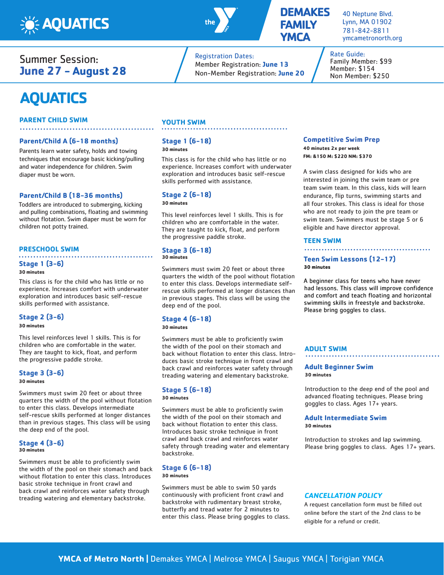

Summer Session: **June 27 - August 28**

## **AQUATICS**

### **PARENT CHILD SWIM**

### **Parent/Child A (6-18 months)**

Parents learn water safety, holds and towing techniques that encourage basic kicking/pulling and water independence for children. Swim diaper must be worn.

### **Parent/Child B (18-36 months)**

Toddlers are introduced to submerging, kicking and pulling combinations, floating and swimming without flotation. Swim diaper must be worn for children not potty trained.

#### **PRESCHOOL SWIM**

### **Stage 1 (3-6)**

### **30 minutes**

This class is for the child who has little or no experience. Increases comfort with underwater exploration and introduces basic self-rescue skills performed with assistance.

### **Stage 2 (3-6)**

**30 minutes**

This level reinforces level 1 skills. This is for children who are comfortable in the water. They are taught to kick, float, and perform the progressive paddle stroke.

### **Stage 3 (3-6)**

### **30 minutes**

Swimmers must swim 20 feet or about three quarters the width of the pool without flotation to enter this class. Develops intermediate self-rescue skills performed at longer distances than in previous stages. This class will be using the deep end of the pool.

### **Stage 4 (3-6) 30 minutes**

Swimmers must be able to proficiently swim the width of the pool on their stomach and back without flotation to enter this class. Introduces basic stroke technique in front crawl and back crawl and reinforces water safety through treading watering and elementary backstroke.

### **YOUTH SWIM**

### **Stage 1 (6-18)**

### **30 minutes**

This class is for the child who has little or no experience. Increases comfort with underwater exploration and introduces basic self-rescue skills performed with assistance.

### **Stage 2 (6-18)**

**30 minutes**

This level reinforces level 1 skills. This is for children who are comfortable in the water. They are taught to kick, float, and perform the progressive paddle stroke.

#### **Stage 3 (6-18) 30 minutes**

Swimmers must swim 20 feet or about three quarters the width of the pool without flotation to enter this class. Develops intermediate selfrescue skills performed at longer distances than in previous stages. This class will be using the deep end of the pool.

### **Stage 4 (6-18)**

**30 minutes**

Swimmers must be able to proficiently swim the width of the pool on their stomach and back without flotation to enter this class. Introduces basic stroke technique in front crawl and back crawl and reinforces water safety through treading watering and elementary backstroke.

### **Stage 5 (6-18)**

**30 minutes**

Swimmers must be able to proficiently swim the width of the pool on their stomach and back without flotation to enter this class. Introduces basic stroke technique in front crawl and back crawl and reinforces water safety through treading water and elementary backstroke.

#### **Stage 6 (6-18) 30 minutes**

Swimmers must be able to swim 50 yards continuously with proficient front crawl and backstroke with rudimentary breast stroke, butterfly and tread water for 2 minutes to enter this class. Please bring goggles to class.

### **Competitive Swim Prep 40 minutes 2x per week**

**FM: &150 M: \$220 NM: \$370**

A swim class designed for kids who are interested in joining the swim team or pre team swim team. In this class, kids will learn endurance, flip turns, swimming starts and all four strokes. This class is ideal for those who are not ready to join the pre team or swim team. Swimmers must be stage 5 or 6 eligible and have director approval.

#### **TEEN SWIM**

### **Teen Swim Lessons (12-17) 30 minutes**

A beginner class for teens who have never had lessons. This class will improve confidence and comfort and teach floating and horizontal swimming skills in freestyle and backstroke. Please bring goggles to class.

### **ADULT SWIM**

#### . . . . . . . . . . . . .

**Adult Beginner Swim 30 minutes**

Introduction to the deep end of the pool and advanced floating techniques. Please bring goggles to class. Ages 17+ years.

#### **Adult Intermediate Swim 30 minutes**

Introduction to strokes and lap swimming. Please bring goggles to class. Ages 17+ years.

### **CANCELLATION POLICY**

A request cancellation form must be filled out online before the start of the 2nd class to be eligible for a refund or credit.



Registration Dates:

Member Registration: **June 13** Non-Member Registration: **June 20**

### **DEMAKES FAMILY YMCA**

40 Neptune Blvd. Lynn, MA 01902 781-842-8811 ymcametronorth.org

Rate Guide: Family Member: \$99 Member: \$154 Non Member: \$250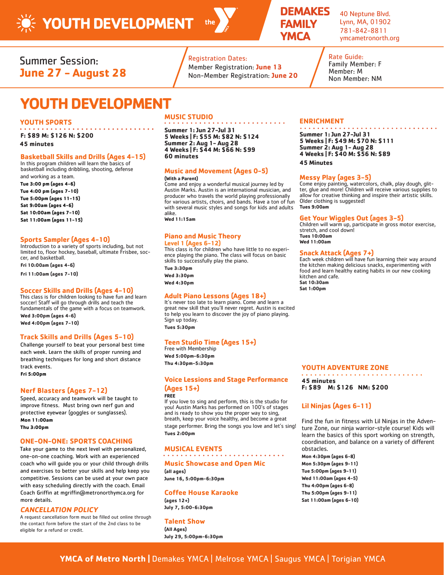

### **DEMAKES FAMILY YMCA**

40 Neptune Blvd. Lynn, MA, 01902 781-842-8811 ymcametronorth.org

Summer Session: **June 27 - August 28**

## **YOUTH DEVELOPMENT**

### **YOUTH SPORTS**

**F: \$89 M: \$126 N: \$200**

**45 minutes**

### **Basketball Skills and Drills (Ages 4-15)**

In this program children will learn the basics of basketball including dribbling, shooting, defense

and working as a team. **Tue 3:00 pm (ages 4-6) Tue 4:00 pm (ages 7-10) Tue 5:00pm (ages 11-15) Sat 9:00am (ages 4-6) Sat 10:00am (ages 7-10) Sat 11:00am (ages 11-15)**

### **Sports Sampler (Ages 4-10)**

Introduction to a variety of sports including, but not limited to, floor hockey, baseball, ultimate Frisbee, soccer, and basketball.

**Fri 10:00am (ages 4-6)**

**Fri 11:00am (ages 7-10)**

### **Soccer Skills and Drills (Ages 4-10)**

This class is for children looking to have fun and learn soccer! Staff will go through drills and teach the fundamentals of the game with a focus on teamwork.

**Wed 3:00pm (ages 4-6) Wed 4:00pm (ages 7-10)**

### **Track Skills and Drills (Ages 5-10)**

Challenge yourself to beat your personal best time each week. Learn the skills of proper running and breathing techniques for long and short distance track events.

**Fri 5:00pm** 

### **Nerf Blasters (Ages 7-12)**

Speed, accuracy and teamwork will be taught to improve fitness. Must bring own nerf gun and protective eyewear (goggles or sunglasses). **Mon 11:00am Thu 3:00pm** 

### **ONE-ON-ONE: SPORTS COACHING**

Take your game to the next level with personalized, one-on-one coaching. Work with an experienced coach who will guide you or your child through drills and exercises to better your skills and help keep you competitive. Sessions can be used at your own pace with easy scheduling directly with the coach. Email Coach Griffin at mgriffin@metronorthymca.org for more details.

### **CANCELLATION POLICY**

A request cancellation form must be filled out online through the contact form before the start of the 2nd class to be eligible for a refund or credit.

### **MUSIC STUDIO**

**Summer 1: Jun 27-Jul 31 5 Weeks | F: \$55 M: \$82 N: \$124 Summer 2: Aug 1- Aug 28 4 Weeks | F: \$44 M: \$66 N: \$99 60 minutes** 

Registration Dates:

Member Registration: **June 13** Non-Member Registration: **June 20**

### **Music and Movement (Ages 0-5) (With a Parent)**

Come and enjoy a wonderful musical journey led by Austin Marks. Austin is an international musician, and

producer who travels the world playing professionally for various artists, choirs, and bands. Have a ton of fun with several music styles and songs for kids and adults alike.

**Wed 11:15am**

### **Piano and Music Theory Level 1 (Ages 6-12)**

This class is for children who have little to no experience playing the piano. The class will focus on basic skills to successfully play the piano.

**Tue 3:30pm Wed 3:30pm**

**Wed 4:30pm**

### **Adult Piano Lessons (Ages 18+)**

It's never too late to learn piano. Come and learn a great new skill that you'll never regret. Austin is excited to help you learn to discover the joy of piano playing. Sign up today. **Tues 5:30pm**

### **Teen Studio Time (Ages 15+)**

Free with Membership **Wed 5:00pm-6:30pm Thu 4:30pm-5:30pm**

### **Voice Lessions and Stage Performance (Ages 15+)**

**FREE**

If you love to sing and perform, this is the studio for you! Austin Marks has performed on 100's of stages and is ready to show you the proper way to sing, breath, keep your voice healthy, and become a great stage performer. Bring the songs you love and let's sing! **Tues 2:00pm**

### **MUSICAL EVENTS**

### **Music Showcase and Open Mic**

**(all ages) June 16, 5:00pm-6:30pm**

### **Coffee House Karaoke**

**(ages 12+) July 7, 5:00-6:30pm**

### **Talent Show**

**(All Ages) July 29, 5:00pm-6:30pm**

#### **ENRICHMENT . . . . . . . . . . .** .

**Summer 1: Jun 27-Jul 31 5 Weeks | F: \$49 M: \$70 N: \$111 Summer 2: Aug 1- Aug 28 4 Weeks | F: \$40 M: \$56 N: \$89 45 Minutes**

Rate Guide: Family Member: F Member: M Non Member: NM

### **Messy Play (ages 3-5)**

Come enjoy painting, watercolors, chalk, play dough, glitter, glue and more! Children will receive various supplies to  $al$ low for creative thinking and inspire their artistic skills. Older clothing is suggested! **Tues 9:00am**

### **Get Your Wiggles Out (ages 3-5)**

Children will warm up, participate in gross motor exercise, stretch, and cool down! **Tues 10:00am Wed 11:00am**

### **Snack Attack (Ages 7+)**

Each week children will have fun learning their way around the kitchen making delicious snacks, experimenting with food and learn healthy eating habits in our new cooking kitchen and cafe. **Sat 10:30am Sat 1:00pm**

### **YOUTH ADVENTURE ZONE**

. . . . . . . . . . . . . . . . . . . **45 minutes F: \$89 M: \$126 NM: \$200**

### **Lil Ninjas (Ages 6-11)**

Find the fun in fitness with Lil Ninjas in the Adventure Zone, our ninja warrior-style course! Kids will learn the basics of this sport working on strength, coordination, and balance on a variety of different obstacles.

**Mon 4:30pm (ages 6-8) Mon 5:30pm (ages 9-11) Tue 5:00pm (ages 9-11) Wed 11:00am (ages 4-5) Thu 4:00pm (ages 6-8) Thu 5:00pm (ages 9-11) Sat 11:00am (ages 6-10)**